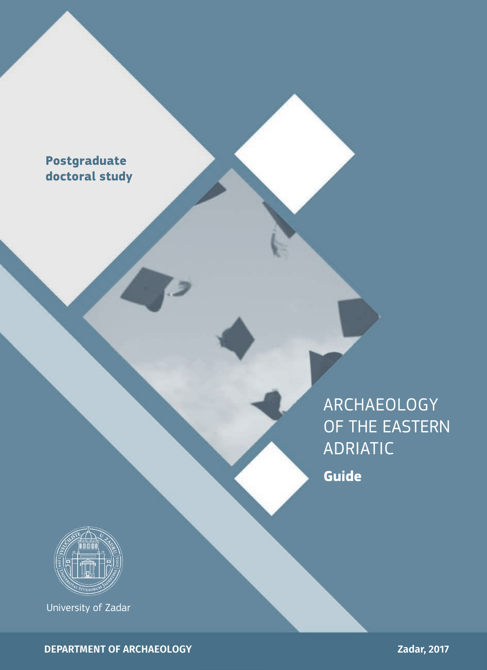## **Postgraduate doctoral study**

ARCHAEOLOGY OF THE EASTERN ADRIATIC

**Guide**



University of Zadar

**DEPARTMENT OF ARCHAEOLOGY**

**Zadar, 2017**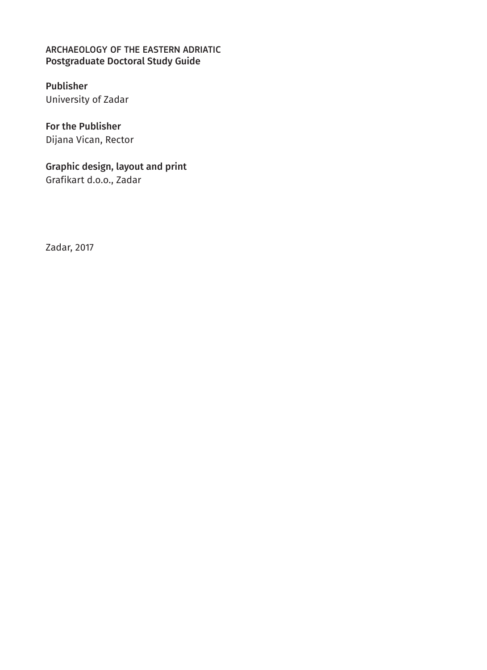#### ARCHAEOLOGY OF THE EASTERN ADRIATIC Postgraduate Doctoral Study Guide

#### Publisher University of Zadar

For the Publisher Dijana Vican, Rector

Graphic design, layout and print Grafikart d.o.o., Zadar

Zadar, 2017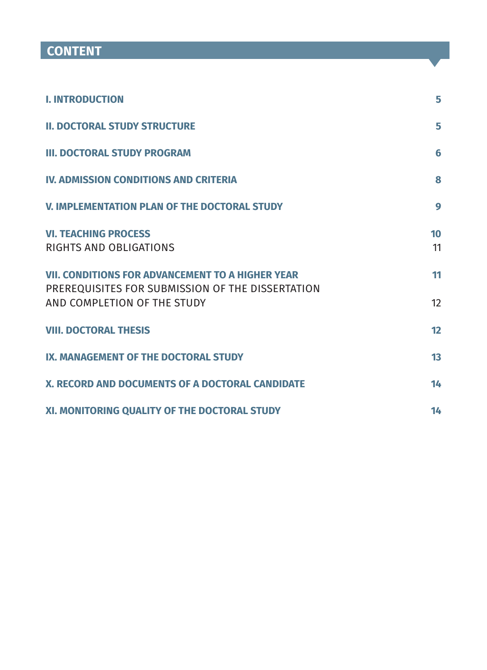# **CONTENT**

| <b>I. INTRODUCTION</b>                                                                                                                     | 5        |
|--------------------------------------------------------------------------------------------------------------------------------------------|----------|
| <b>II. DOCTORAL STUDY STRUCTURE</b>                                                                                                        | 5        |
| <b>III. DOCTORAL STUDY PROGRAM</b>                                                                                                         | 6        |
| <b>IV. ADMISSION CONDITIONS AND CRITERIA</b>                                                                                               | 8        |
| V. IMPLEMENTATION PLAN OF THE DOCTORAL STUDY                                                                                               | 9        |
| <b>VI. TEACHING PROCESS</b><br>RIGHTS AND OBLIGATIONS                                                                                      | 10<br>11 |
| <b>VII. CONDITIONS FOR ADVANCEMENT TO A HIGHER YEAR</b><br>PREREQUISITES FOR SUBMISSION OF THE DISSERTATION<br>AND COMPLETION OF THE STUDY | 11<br>12 |
| <b>VIII. DOCTORAL THESIS</b>                                                                                                               | 12       |
| IX. MANAGEMENT OF THE DOCTORAL STUDY                                                                                                       | 13       |
| X. RECORD AND DOCUMENTS OF A DOCTORAL CANDIDATE                                                                                            | 14       |
| XI. MONITORING QUALITY OF THE DOCTORAL STUDY                                                                                               | 14       |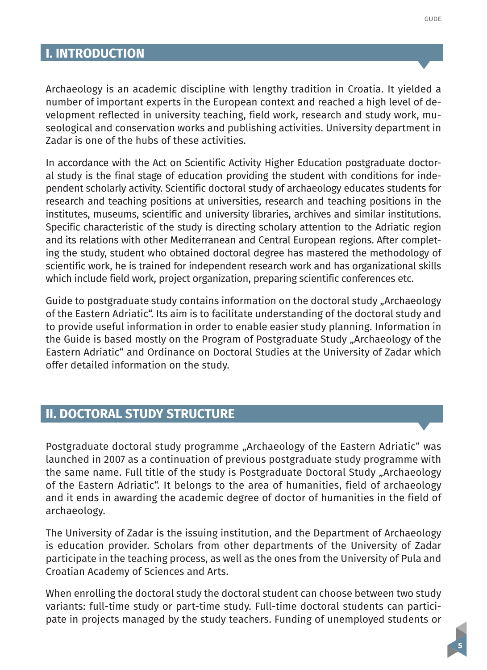Archaeology is an academic discipline with lengthy tradition in Croatia. It yielded a number of important experts in the European context and reached a high level of development reflected in university teaching, field work, research and study work, museological and conservation works and publishing activities. University department in Zadar is one of the hubs of these activities.

In accordance with the Act on Scientific Activity Higher Education postgraduate doctoral study is the final stage of education providing the student with conditions for independent scholarly activity. Scientific doctoral study of archaeology educates students for research and teaching positions at universities, research and teaching positions in the institutes, museums, scientific and university libraries, archives and similar institutions. Specific characteristic of the study is directing scholary attention to the Adriatic region and its relations with other Mediterranean and Central European regions. After completing the study, student who obtained doctoral degree has mastered the methodology of scientific work, he is trained for independent research work and has organizational skills which include field work, project organization, preparing scientific conferences etc.

Guide to postgraduate study contains information on the doctoral study "Archaeology of the Eastern Adriatic". Its aim is to facilitate understanding of the doctoral study and to provide useful information in order to enable easier study planning. Information in the Guide is based mostly on the Program of Postgraduate Study "Archaeology of the Eastern Adriatic" and Ordinance on Doctoral Studies at the University of Zadar which offer detailed information on the study.

#### **II. DOCTORAL STUDY STRUCTURE**

Postgraduate doctoral study programme "Archaeology of the Eastern Adriatic" was launched in 2007 as a continuation of previous postgraduate study programme with the same name. Full title of the study is Postgraduate Doctoral Study "Archaeology of the Eastern Adriatic". It belongs to the area of humanities, field of archaeology and it ends in awarding the academic degree of doctor of humanities in the field of archaeology.

The University of Zadar is the issuing institution, and the Department of Archaeology is education provider. Scholars from other departments of the University of Zadar participate in the teaching process, as well as the ones from the University of Pula and Croatian Academy of Sciences and Arts.

When enrolling the doctoral study the doctoral student can choose between two study variants: full-time study or part-time study. Full-time doctoral students can participate in projects managed by the study teachers. Funding of unemployed students or

**5**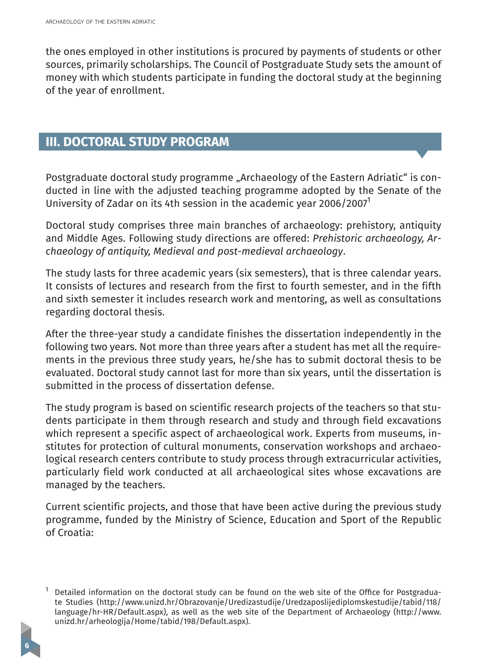the ones employed in other institutions is procured by payments of students or other sources, primarily scholarships. The Council of Postgraduate Study sets the amount of money with which students participate in funding the doctoral study at the beginning of the year of enrollment.

### **III. DOCTORAL STUDY PROGRAM**

Postgraduate doctoral study programme "Archaeology of the Eastern Adriatic" is conducted in line with the adjusted teaching programme adopted by the Senate of the University of Zadar on its 4th session in the academic year 2006/20071

Doctoral study comprises three main branches of archaeology: prehistory, antiquity and Middle Ages. Following study directions are offered: *Prehistoric archaeology, Archaeology of antiquity, Medieval and post-medieval archaeology*.

The study lasts for three academic years (six semesters), that is three calendar years. It consists of lectures and research from the first to fourth semester, and in the fifth and sixth semester it includes research work and mentoring, as well as consultations regarding doctoral thesis.

After the three-year study a candidate finishes the dissertation independently in the following two years. Not more than three years after a student has met all the requirements in the previous three study years, he/she has to submit doctoral thesis to be evaluated. Doctoral study cannot last for more than six years, until the dissertation is submitted in the process of dissertation defense.

The study program is based on scientific research projects of the teachers so that students participate in them through research and study and through field excavations which represent a specific aspect of archaeological work. Experts from museums, institutes for protection of cultural monuments, conservation workshops and archaeological research centers contribute to study process through extracurricular activities, particularly field work conducted at all archaeological sites whose excavations are managed by the teachers.

Current scientific projects, and those that have been active during the previous study programme, funded by the Ministry of Science, Education and Sport of the Republic of Croatia:

<sup>1</sup> Detailed information on the doctoral study can be found on the web site of the Office for Postgraduate Studies (http://www.unizd.hr/Obrazovanje/Uredizastudije/Uredzaposlijediplomskestudije/tabid/118/ language/hr-HR/Default.aspx), as well as the web site of the Department of Archaeology (http://www. unizd.hr/arheologija/Home/tabid/198/Default.aspx).

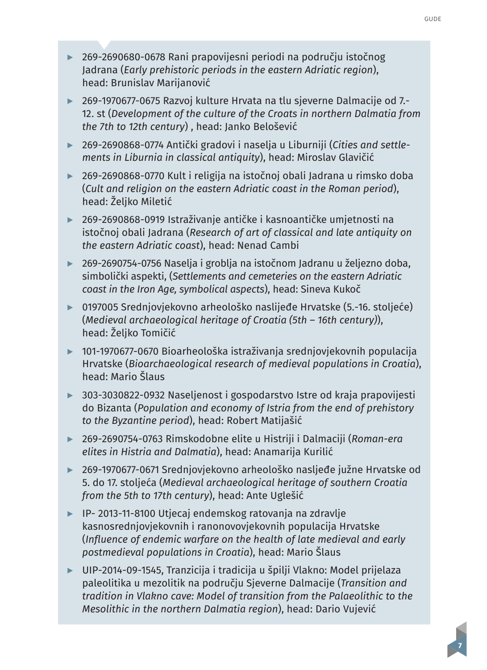- **▶** 269-2690680-0678 Rani prapovijesni periodi na području istočnog Jadrana (*Early prehistoric periods in the eastern Adriatic region*), head: Brunislav Marijanović
- **▶** 269-1970677-0675 Razvoj kulture Hrvata na tlu sjeverne Dalmacije od 7.- 12. st (*Development of the culture of the Croats in northern Dalmatia from the 7th to 12th century*) , head: Janko Belošević
- **▶** 269-2690868-0774 Antički gradovi i naselja u Liburniji (*Cities and settlements in Liburnia in classical antiquity*), head: Miroslav Glavičić
- **▶** 269-2690868-0770 Kult i religija na istočnoj obali Jadrana u rimsko doba (*Cult and religion on the eastern Adriatic coast in the Roman period*), head: Željko Miletić
- **▶** 269-2690868-0919 Istraživanje antičke i kasnoantičke umjetnosti na istočnoj obali Jadrana (*Research of art of classical and late antiquity on the eastern Adriatic coast*), head: Nenad Cambi
- **▶** 269-2690754-0756 Naselja i groblja na istočnom Jadranu u željezno doba, simbolički aspekti, (*Settlements and cemeteries on the eastern Adriatic coast in the Iron Age, symbolical aspects*), head: Sineva Kukoč
- **▶** 0197005 Srednjovjekovno arheološko naslijeđe Hrvatske (5.-16. stoljeće) (*Medieval archaeological heritage of Croatia (5th – 16th century)*), head: Željko Tomičić
- **▶** 101-1970677-0670 Bioarheološka istraživanja srednjovjekovnih populacija Hrvatske (*Bioarchaeological research of medieval populations in Croatia*), head: Mario Šlaus
- **▶** 303-3030822-0932 Naseljenost i gospodarstvo Istre od kraja prapovijesti do Bizanta (*Population and economy of Istria from the end of prehistory to the Byzantine period*), head: Robert Matijašić
- **▶** 269-2690754-0763 Rimskodobne elite u Histriji i Dalmaciji (*Roman-era elites in Histria and Dalmatia*), head: Anamarija Kurilić
- **▶** 269-1970677-0671 Srednjovjekovno arheološko nasljeđe južne Hrvatske od 5. do 17. stoljeća (*Medieval archaeological heritage of southern Croatia from the 5th to 17th century*), head: Ante Uglešić
- **▶** IP- 2013-11-8100 Utjecaj endemskog ratovanja na zdravlje kasnosrednjovjekovnih i ranonovovjekovnih populacija Hrvatske (*Influence of endemic warfare on the health of late medieval and early postmedieval populations in Croatia*), head: Mario Šlaus
- **▶** UIP-2014-09-1545, Tranzicija i tradicija u špilji Vlakno: Model prijelaza paleolitika u mezolitik na području Sjeverne Dalmacije (*Transition and tradition in Vlakno cave: Model of transition from the Palaeolithic to the Mesolithic in the northern Dalmatia region*), head: Dario Vujević

**7**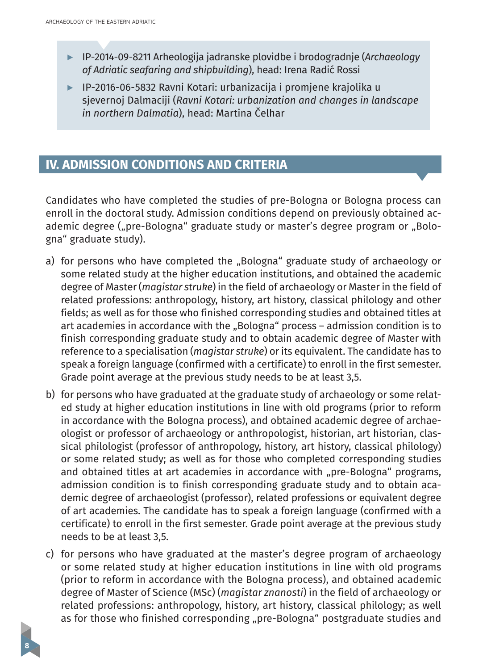**8**

- **▶** IP-2014-09-8211 Arheologija jadranske plovidbe i brodogradnje (*Archaeology of Adriatic seafaring and shipbuilding*), head: Irena Radić Rossi
- **▶** IP-2016-06-5832 Ravni Kotari: urbanizacija i promjene krajolika u sjevernoj Dalmaciji (*Ravni Kotari: urbanization and changes in landscape in northern Dalmatia*), head: Martina Čelhar

### **IV. ADMISSION CONDITIONS AND CRITERIA**

Candidates who have completed the studies of pre-Bologna or Bologna process can enroll in the doctoral study. Admission conditions depend on previously obtained academic degree ("pre-Bologna" graduate study or master's degree program or "Bologna" graduate study).

- a) for persons who have completed the "Bologna" graduate study of archaeology or some related study at the higher education institutions, and obtained the academic degree of Master (*magistar struke*) in the field of archaeology or Master in the field of related professions: anthropology, history, art history, classical philology and other fields; as well as for those who finished corresponding studies and obtained titles at art academies in accordance with the "Bologna" process - admission condition is to finish corresponding graduate study and to obtain academic degree of Master with reference to a specialisation (*magistar struke*) or its equivalent. The candidate has to speak a foreign language (confirmed with a certificate) to enroll in the first semester. Grade point average at the previous study needs to be at least 3,5.
- b) for persons who have graduated at the graduate study of archaeology or some related study at higher education institutions in line with old programs (prior to reform in accordance with the Bologna process), and obtained academic degree of archaeologist or professor of archaeology or anthropologist, historian, art historian, classical philologist (professor of anthropology, history, art history, classical philology) or some related study; as well as for those who completed corresponding studies and obtained titles at art academies in accordance with "pre-Bologna" programs, admission condition is to finish corresponding graduate study and to obtain academic degree of archaeologist (professor), related professions or equivalent degree of art academies. The candidate has to speak a foreign language (confirmed with a certificate) to enroll in the first semester. Grade point average at the previous study needs to be at least 3,5.
- c) for persons who have graduated at the master's degree program of archaeology or some related study at higher education institutions in line with old programs (prior to reform in accordance with the Bologna process), and obtained academic degree of Master of Science (MSc) (*magistar znanosti*) in the field of archaeology or related professions: anthropology, history, art history, classical philology; as well as for those who finished corresponding "pre-Bologna" postgraduate studies and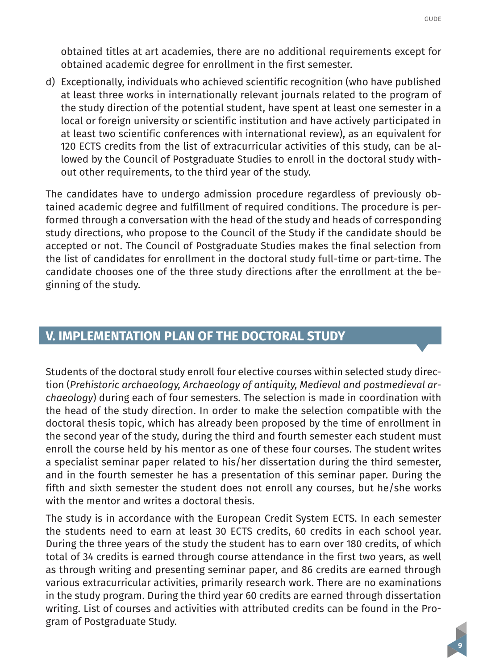obtained titles at art academies, there are no additional requirements except for obtained academic degree for enrollment in the first semester.

d) Exceptionally, individuals who achieved scientific recognition (who have published at least three works in internationally relevant journals related to the program of the study direction of the potential student, have spent at least one semester in a local or foreign university or scientific institution and have actively participated in at least two scientific conferences with international review), as an equivalent for 120 ECTS credits from the list of extracurricular activities of this study, can be allowed by the Council of Postgraduate Studies to enroll in the doctoral study without other requirements, to the third year of the study.

The candidates have to undergo admission procedure regardless of previously obtained academic degree and fulfillment of required conditions. The procedure is performed through a conversation with the head of the study and heads of corresponding study directions, who propose to the Council of the Study if the candidate should be accepted or not. The Council of Postgraduate Studies makes the final selection from the list of candidates for enrollment in the doctoral study full-time or part-time. The candidate chooses one of the three study directions after the enrollment at the beginning of the study.

#### **V. IMPLEMENTATION PLAN OF THE DOCTORAL STUDY**

Students of the doctoral study enroll four elective courses within selected study direction (*Prehistoric archaeology, Archaeology of antiquity, Medieval and postmedieval archaeology*) during each of four semesters. The selection is made in coordination with the head of the study direction. In order to make the selection compatible with the doctoral thesis topic, which has already been proposed by the time of enrollment in the second year of the study, during the third and fourth semester each student must enroll the course held by his mentor as one of these four courses. The student writes a specialist seminar paper related to his/her dissertation during the third semester, and in the fourth semester he has a presentation of this seminar paper. During the fifth and sixth semester the student does not enroll any courses, but he/she works with the mentor and writes a doctoral thesis.

The study is in accordance with the European Credit System ECTS. In each semester the students need to earn at least 30 ECTS credits, 60 credits in each school year. During the three years of the study the student has to earn over 180 credits, of which total of 34 credits is earned through course attendance in the first two years, as well as through writing and presenting seminar paper, and 86 credits are earned through various extracurricular activities, primarily research work. There are no examinations in the study program. During the third year 60 credits are earned through dissertation writing. List of courses and activities with attributed credits can be found in the Program of Postgraduate Study.

**9**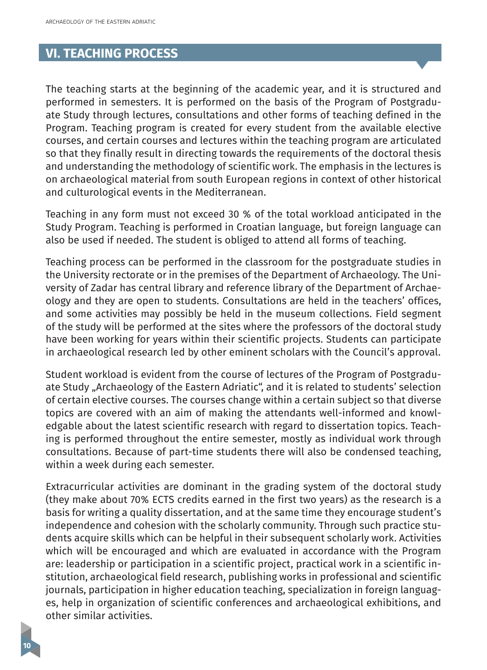#### **VI. TEACHING PROCESS**

The teaching starts at the beginning of the academic year, and it is structured and performed in semesters. It is performed on the basis of the Program of Postgraduate Study through lectures, consultations and other forms of teaching defined in the Program. Teaching program is created for every student from the available elective courses, and certain courses and lectures within the teaching program are articulated so that they finally result in directing towards the requirements of the doctoral thesis and understanding the methodology of scientific work. The emphasis in the lectures is on archaeological material from south European regions in context of other historical and culturological events in the Mediterranean.

Teaching in any form must not exceed 30 % of the total workload anticipated in the Study Program. Teaching is performed in Croatian language, but foreign language can also be used if needed. The student is obliged to attend all forms of teaching.

Teaching process can be performed in the classroom for the postgraduate studies in the University rectorate or in the premises of the Department of Archaeology. The University of Zadar has central library and reference library of the Department of Archaeology and they are open to students. Consultations are held in the teachers' offices, and some activities may possibly be held in the museum collections. Field segment of the study will be performed at the sites where the professors of the doctoral study have been working for years within their scientific projects. Students can participate in archaeological research led by other eminent scholars with the Council's approval.

Student workload is evident from the course of lectures of the Program of Postgraduate Study "Archaeology of the Eastern Adriatic", and it is related to students' selection of certain elective courses. The courses change within a certain subject so that diverse topics are covered with an aim of making the attendants well-informed and knowledgable about the latest scientific research with regard to dissertation topics. Teaching is performed throughout the entire semester, mostly as individual work through consultations. Because of part-time students there will also be condensed teaching, within a week during each semester.

Extracurricular activities are dominant in the grading system of the doctoral study (they make about 70% ECTS credits earned in the first two years) as the research is a basis for writing a quality dissertation, and at the same time they encourage student's independence and cohesion with the scholarly community. Through such practice students acquire skills which can be helpful in their subsequent scholarly work. Activities which will be encouraged and which are evaluated in accordance with the Program are: leadership or participation in a scientific project, practical work in a scientific institution, archaeological field research, publishing works in professional and scientific journals, participation in higher education teaching, specialization in foreign languages, help in organization of scientific conferences and archaeological exhibitions, and other similar activities.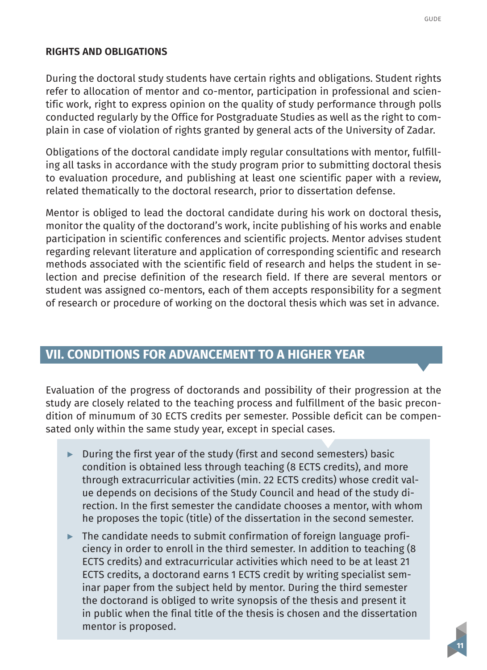#### <span id="page-10-0"></span>**RIGHTS AND OBLIGATIONS**

During the doctoral study students have certain rights and obligations. Student rights refer to allocation of mentor and co-mentor, participation in professional and scientific work, right to express opinion on the quality of study performance through polls conducted regularly by the Office for Postgraduate Studies as well as the right to complain in case of violation of rights granted by general acts of the University of Zadar.

Obligations of the doctoral candidate imply regular consultations with mentor, fulfilling all tasks in accordance with the study program prior to submitting doctoral thesis to evaluation procedure, and publishing at least one scientific paper with a review, related thematically to the doctoral research, prior to dissertation defense.

Mentor is obliged to lead the doctoral candidate during his work on doctoral thesis, monitor the quality of the doctorand's work, incite publishing of his works and enable participation in scientific conferences and scientific projects. Mentor advises student regarding relevant literature and application of corresponding scientific and research methods associated with the scientific field of research and helps the student in selection and precise definition of the research field. If there are several mentors or student was assigned co-mentors, each of them accepts responsibility for a segment of research or procedure of working on the doctoral thesis which was set in advance.

#### **VII. CONDITIONS FOR ADVANCEMENT TO A HIGHER YEAR**

Evaluation of the progress of doctorands and possibility of their progression at the study are closely related to the teaching process and fulfillment of the basic precondition of minumum of 30 ECTS credits per semester. Possible deficit can be compensated only within the same study year, except in special cases.

- **▶** During the first year of the study (first and second semesters) basic condition is obtained less through teaching (8 ECTS credits), and more through extracurricular activities (min. 22 ECTS credits) whose credit value depends on decisions of the Study Council and head of the study direction. In the first semester the candidate chooses a mentor, with whom he proposes the topic (title) of the dissertation in the second semester.
- **▶** The candidate needs to submit confirmation of foreign language proficiency in order to enroll in the third semester. In addition to teaching (8 ECTS credits) and extracurricular activities which need to be at least 21 ECTS credits, a doctorand earns 1 ECTS credit by writing specialist seminar paper from the subject held by mentor. During the third semester the doctorand is obliged to write synopsis of the thesis and present it in public when the final title of the thesis is chosen and the dissertation mentor is proposed.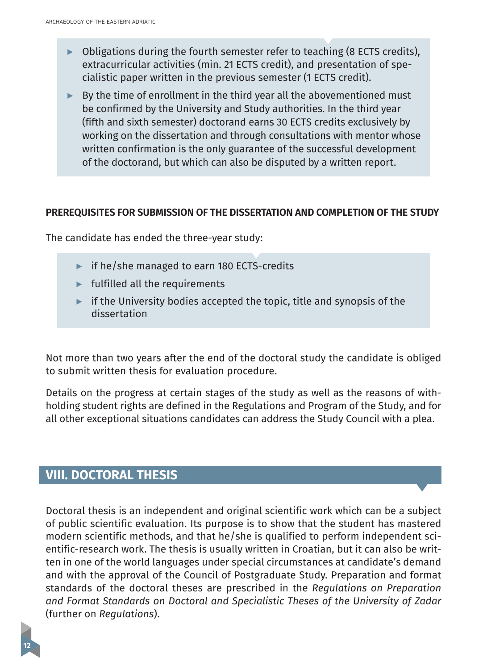- <span id="page-11-0"></span>**▶** Obligations during the fourth semester refer to teaching (8 ECTS credits), extracurricular activities (min. 21 ECTS credit), and presentation of specialistic paper written in the previous semester (1 ECTS credit).
- **▶** By the time of enrollment in the third year all the abovementioned must be confirmed by the University and Study authorities. In the third year (fifth and sixth semester) doctorand earns 30 ECTS credits exclusively by working on the dissertation and through consultations with mentor whose written confirmation is the only guarantee of the successful development of the doctorand, but which can also be disputed by a written report.

#### **PREREQUISITES FOR SUBMISSION OF THE DISSERTATION AND COMPLETION OF THE STUDY**

The candidate has ended the three-year study:

- **▶** if he/she managed to earn 180 ECTS-credits
- **▶** fulfilled all the requirements
- **▶** if the University bodies accepted the topic, title and synopsis of the dissertation

Not more than two years after the end of the doctoral study the candidate is obliged to submit written thesis for evaluation procedure.

Details on the progress at certain stages of the study as well as the reasons of withholding student rights are defined in the Regulations and Program of the Study, and for all other exceptional situations candidates can address the Study Council with a plea.

#### **VIII. DOCTORAL THESIS**

**12**

Doctoral thesis is an independent and original scientific work which can be a subject of public scientific evaluation. Its purpose is to show that the student has mastered modern scientific methods, and that he/she is qualified to perform independent scientific-research work. The thesis is usually written in Croatian, but it can also be written in one of the world languages under special circumstances at candidate's demand and with the approval of the Council of Postgraduate Study. Preparation and format standards of the doctoral theses are prescribed in the *Regulations on Preparation and Format Standards on Doctoral and Specialistic Theses of the University of Zadar* (further on *Regulations*).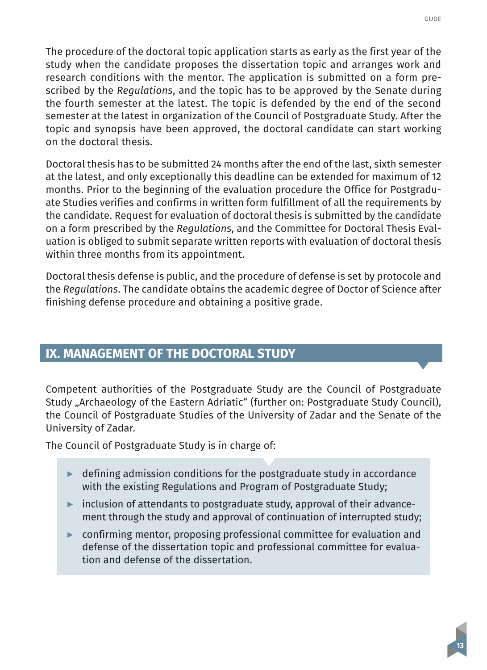<span id="page-12-0"></span>The procedure of the doctoral topic application starts as early as the first year of the study when the candidate proposes the dissertation topic and arranges work and research conditions with the mentor. The application is submitted on a form prescribed by the *Regulations*, and the topic has to be approved by the Senate during the fourth semester at the latest. The topic is defended by the end of the second semester at the latest in organization of the Council of Postgraduate Study. After the topic and synopsis have been approved, the doctoral candidate can start working on the doctoral thesis.

Doctoral thesis has to be submitted 24 months after the end of the last, sixth semester at the latest, and only exceptionally this deadline can be extended for maximum of 12 months. Prior to the beginning of the evaluation procedure the Office for Postgraduate Studies verifies and confirms in written form fulfillment of all the requirements by the candidate. Request for evaluation of doctoral thesis is submitted by the candidate on a form prescribed by the *Regulations*, and the Committee for Doctoral Thesis Evaluation is obliged to submit separate written reports with evaluation of doctoral thesis within three months from its appointment.

Doctoral thesis defense is public, and the procedure of defense is set by protocole and the *Regulations*. The candidate obtains the academic degree of Doctor of Science after finishing defense procedure and obtaining a positive grade.

### **IX. MANAGEMENT OF THE DOCTORAL STUDY**

Competent authorities of the Postgraduate Study are the Council of Postgraduate Study "Archaeology of the Eastern Adriatic" (further on: Postgraduate Study Council), the Council of Postgraduate Studies of the University of Zadar and the Senate of the University of Zadar.

The Council of Postgraduate Study is in charge of:

- **▶** defining admission conditions for the postgraduate study in accordance with the existing Regulations and Program of Postgraduate Study;
- **▶** inclusion of attendants to postgraduate study, approval of their advancement through the study and approval of continuation of interrupted study;
- **▶** confirming mentor, proposing professional committee for evaluation and defense of the dissertation topic and professional committee for evaluation and defense of the dissertation.